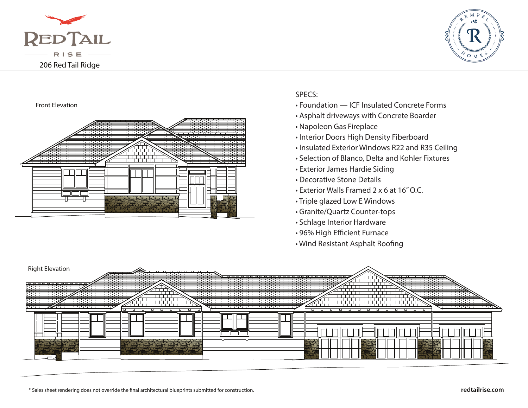



## Front Elevation



## SPECS:

- Foundation ICF Insulated Concrete Forms
- Asphalt driveways with Concrete Boarder
- Napoleon Gas Fireplace
- Interior Doors High Density Fiberboard
- Insulated Exterior Windows R22 and R35 Ceiling
- Selection of Blanco, Delta and Kohler Fixtures
- Exterior James Hardie Siding
- Decorative Stone Details
- Exterior Walls Framed 2 x 6 at 16" O.C.
- Triple glazed Low E Windows
- Granite/Quartz Counter-tops
- Schlage Interior Hardware
- 96% High Efficient Furnace
- Wind Resistant Asphalt Roofing



\* Sales sheet rendering does not override the nal architectural blueprints submitted for construction.